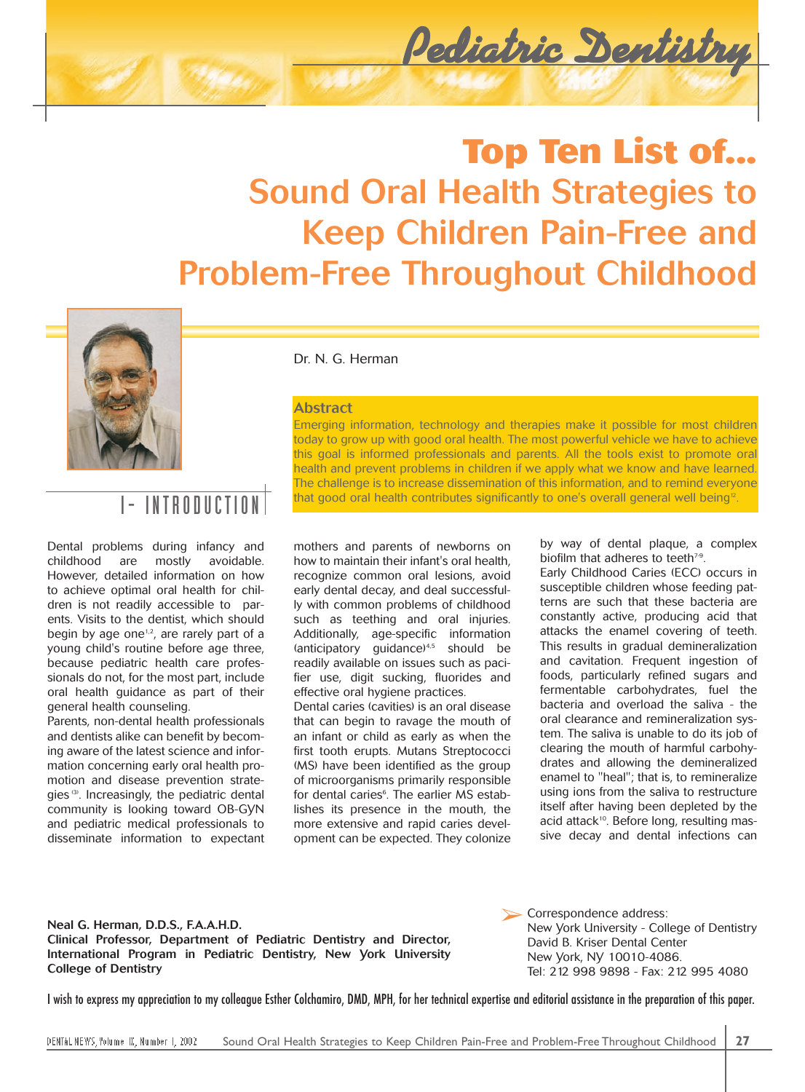

# **Top Ten List of... Sound Oral Health Strategies to Keep Children Pain-Free and Problem-Free Throughout Childhood**



INTRODUCTION

Dental problems during infancy and childhood are mostly avoidable. However, detailed information on how to achieve optimal oral health for children is not readily accessible to parents. Visits to the dentist, which should begin by age one<sup>1,2</sup>, are rarely part of a young child's routine before age three, because pediatric health care professionals do not, for the most part, include oral health guidance as part of their general health counseling.

Parents, non-dental health professionals and dentists alike can benefit by becoming aware of the latest science and information concerning early oral health promotion and disease prevention strategies (3). Increasingly, the pediatric dental community is looking toward OB-GYN and pediatric medical professionals to disseminate information to expectant Dr. N. G. Herman

### **Abstract**

Emerging information, technology and therapies make it possible for most children today to grow up with good oral health. The most powerful vehicle we have to achieve this goal is informed professionals and parents. All the tools exist to promote oral health and prevent problems in children if we apply what we know and have learned. The challenge is to increase dissemination of this information, and to remind everyone that good oral health contributes significantly to one's overall general well being<sup>12</sup>.

mothers and parents of newborns on how to maintain their infant's oral health, recognize common oral lesions, avoid early dental decay, and deal successfully with common problems of childhood such as teething and oral injuries. Additionally, age-specific information (anticipatory quidance) $4,5$  should be readily available on issues such as pacifier use, digit sucking, fluorides and effective oral hygiene practices.

Dental caries (cavities) is an oral disease that can begin to ravage the mouth of an infant or child as early as when the first tooth erupts. Mutans Streptococci (MS) have been identified as the group of microorganisms primarily responsible for dental caries<sup>6</sup>. The earlier MS establishes its presence in the mouth, the more extensive and rapid caries development can be expected. They colonize by way of dental plaque, a complex biofilm that adheres to teeth $7-9$ .

Early Childhood Caries (ECC) occurs in susceptible children whose feeding patterns are such that these bacteria are constantly active, producing acid that attacks the enamel covering of teeth. This results in gradual demineralization and cavitation. Frequent ingestion of foods, particularly refined sugars and fermentable carbohydrates, fuel the bacteria and overload the saliva - the oral clearance and remineralization system. The saliva is unable to do its job of clearing the mouth of harmful carbohydrates and allowing the demineralized enamel to "heal"; that is, to remineralize using ions from the saliva to restructure itself after having been depleted by the acid attack<sup>10</sup>. Before long, resulting massive decay and dental infections can

**Neal G. Herman, D.D.S., F.A.A.H.D. Clinical Professor, Department of Pediatric Dentistry and Director, International Program in Pediatric Dentistry, New York University College of Dentistry**

Correspondence address: New York University - College of Dentistry David B. Kriser Dental Center New York, NY 10010-4086. Tel: 212 998 9898 - Fax: 212 995 4080 ➢

I wish to express my appreciation to my colleague Esther Colchamiro, DMD, MPH, for her technical expertise and editorial assistance in the preparation of this paper.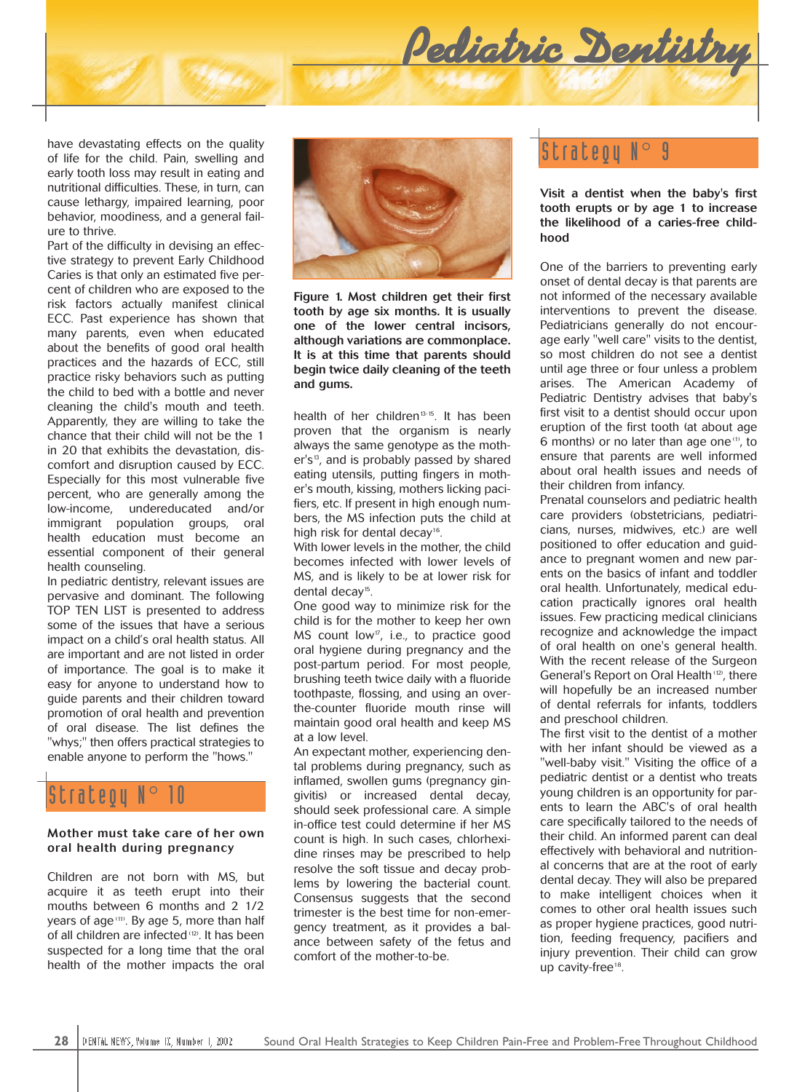

early tooth loss may result in eating and nutritional difficulties. These, in turn, can cause lethargy, impaired learning, poor behavior, moodiness, and a general failure to thrive.

Part of the difficulty in devising an effective strategy to prevent Early Childhood Caries is that only an estimated five percent of children who are exposed to the risk factors actually manifest clinical ECC. Past experience has shown that many parents, even when educated about the benefits of good oral health practices and the hazards of ECC, still practice risky behaviors such as putting the child to bed with a bottle and never cleaning the child's mouth and teeth. Apparently, they are willing to take the chance that their child will not be the 1 in 20 that exhibits the devastation, discomfort and disruption caused by ECC. Especially for this most vulnerable five percent, who are generally among the low-income, undereducated and/or immigrant population groups, oral health education must become an essential component of their general health counseling.

In pediatric dentistry, relevant issues are pervasive and dominant. The following TOP TEN LIST is presented to address some of the issues that have a serious impact on a child's oral health status. All are important and are not listed in order of importance. The goal is to make it easy for anyone to understand how to guide parents and their children toward promotion of oral health and prevention of oral disease. The list defines the "whys;" then offers practical strategies to enable anyone to perform the "hows."

## Strateou

#### **Mother must take care of her own oral health during pregnancy**

Children are not born with MS, but acquire it as teeth erupt into their mouths between 6 months and 2 1/2 years of age <sup>(11)</sup>. By age 5, more than half of all children are infected<sup>(12)</sup>. It has been suspected for a long time that the oral health of the mother impacts the oral



**Figure 1. Most children get their first tooth by age six months. It is usually one of the lower central incisors, although variations are commonplace. It is at this time that parents should begin twice daily cleaning of the teeth and gums.**

health of her children<sup> $13-15$ </sup>. It has been proven that the organism is nearly always the same genotype as the moth $er's<sup>13</sup>$ , and is probably passed by shared eating utensils, putting fingers in mother's mouth, kissing, mothers licking pacifiers, etc. If present in high enough numbers, the MS infection puts the child at high risk for dental decay<sup>16</sup>.

With lower levels in the mother, the child becomes infected with lower levels of MS, and is likely to be at lower risk for dental decay<sup>15</sup>.

One good way to minimize risk for the child is for the mother to keep her own MS count low<sup> $\sigma$ </sup>, i.e., to practice good oral hygiene during pregnancy and the post-partum period. For most people, brushing teeth twice daily with a fluoride toothpaste, flossing, and using an overthe-counter fluoride mouth rinse will maintain good oral health and keep MS at a low level.

An expectant mother, experiencing dental problems during pregnancy, such as inflamed, swollen gums (pregnancy gingivitis) or increased dental decay, should seek professional care. A simple in-office test could determine if her MS count is high. In such cases, chlorhexidine rinses may be prescribed to help resolve the soft tissue and decay problems by lowering the bacterial count. Consensus suggests that the second trimester is the best time for non-emergency treatment, as it provides a balance between safety of the fetus and comfort of the mother-to-be.

#### **Visit a dentist when the baby's first tooth erupts or by age 1 to increase the likelihood of a caries-free childhood**

One of the barriers to preventing early onset of dental decay is that parents are not informed of the necessary available interventions to prevent the disease. Pediatricians generally do not encourage early "well care" visits to the dentist, so most children do not see a dentist until age three or four unless a problem arises. The American Academy of Pediatric Dentistry advises that baby's first visit to a dentist should occur upon eruption of the first tooth (at about age 6 months) or no later than age one (1), to ensure that parents are well informed about oral health issues and needs of their children from infancy.

Prenatal counselors and pediatric health care providers (obstetricians, pediatricians, nurses, midwives, etc.) are well positioned to offer education and guidance to pregnant women and new parents on the basics of infant and toddler oral health. Unfortunately, medical education practically ignores oral health issues. Few practicing medical clinicians recognize and acknowledge the impact of oral health on one's general health. With the recent release of the Surgeon General's Report on Oral Health<sup>(12)</sup>, there will hopefully be an increased number of dental referrals for infants, toddlers and preschool children.

The first visit to the dentist of a mother with her infant should be viewed as a "well-baby visit." Visiting the office of a pediatric dentist or a dentist who treats young children is an opportunity for parents to learn the ABC's of oral health care specifically tailored to the needs of their child. An informed parent can deal effectively with behavioral and nutritional concerns that are at the root of early dental decay. They will also be prepared to make intelligent choices when it comes to other oral health issues such as proper hygiene practices, good nutrition, feeding frequency, pacifiers and injury prevention. Their child can grow up cavity-free<sup>18</sup>.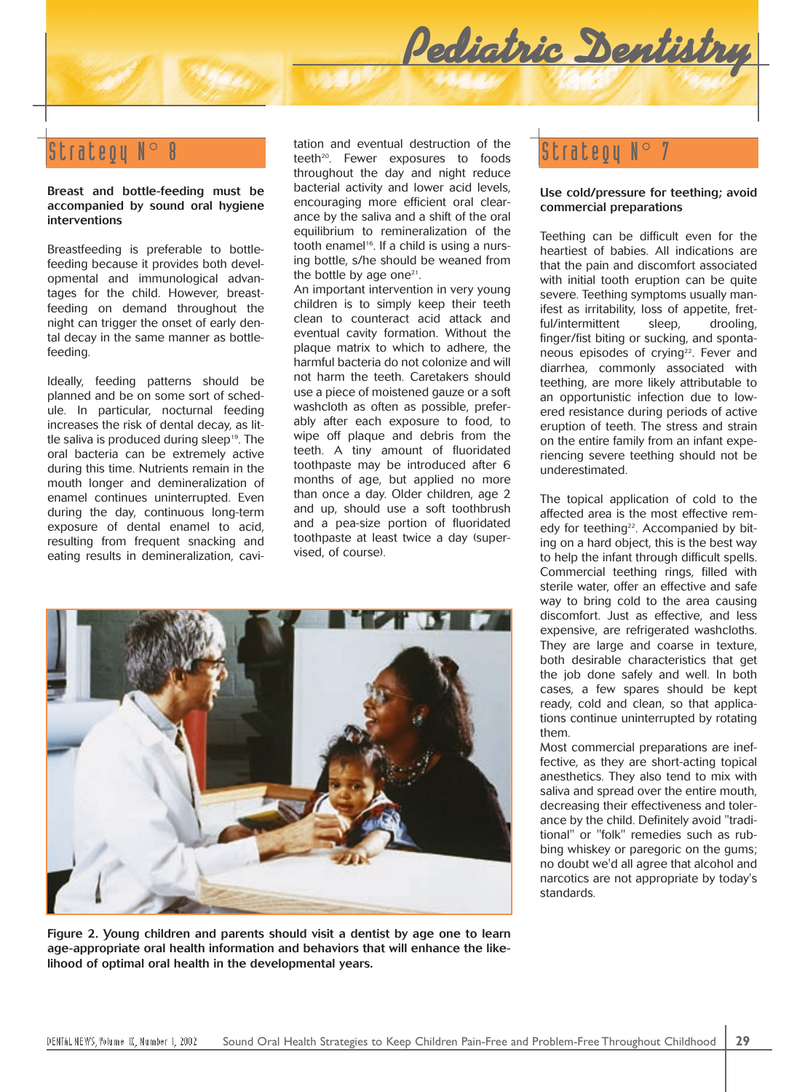#### **Breast and bottle-feeding must be accompanied by sound oral hygiene interventions**

Breastfeeding is preferable to bottlefeeding because it provides both developmental and immunological advantages for the child. However, breastfeeding on demand throughout the night can trigger the onset of early dental decay in the same manner as bottlefeeding.

Ideally, feeding patterns should be planned and be on some sort of schedule. In particular, nocturnal feeding increases the risk of dental decay, as little saliva is produced during sleep<sup>19</sup>. The oral bacteria can be extremely active during this time. Nutrients remain in the mouth longer and demineralization of enamel continues uninterrupted. Even during the day, continuous long-term exposure of dental enamel to acid, resulting from frequent snacking and eating results in demineralization, cavi-

 $\texttt{String}\ \mathbb{R}^{\odot} \ \mathbb{R}^{\odot} \ \mathbb{R}^{\odot}$  and eventual destruction of the  $\texttt{String}\ \mathbb{R}^{\odot} \ \mathbb{R}^{\odot}$  and eventual destruction of the  $\texttt{String}\ \mathbb{R}^{\odot} \ \mathbb{R}^{\odot}$ tation and eventual destruction of the throughout the day and night reduce bacterial activity and lower acid levels, encouraging more efficient oral clearance by the saliva and a shift of the oral equilibrium to remineralization of the tooth enamel<sup>16</sup>. If a child is using a nursing bottle, s/he should be weaned from the bottle by age one<sup>21</sup>.

> An important intervention in very young children is to simply keep their teeth clean to counteract acid attack and eventual cavity formation. Without the plaque matrix to which to adhere, the harmful bacteria do not colonize and will not harm the teeth. Caretakers should use a piece of moistened gauze or a soft washcloth as often as possible, preferably after each exposure to food, to wipe off plaque and debris from the teeth. A tiny amount of fluoridated toothpaste may be introduced after 6 months of age, but applied no more than once a day. Older children, age 2 and up, should use a soft toothbrush and a pea-size portion of fluoridated toothpaste at least twice a day (supervised, of course).



**Figure 2. Young children and parents should visit a dentist by age one to learn age-appropriate oral health information and behaviors that will enhance the likelihood of optimal oral health in the developmental years.**

*Pediatric Dentistry*

#### **Use cold/pressure for teething; avoid commercial preparations**

Teething can be difficult even for the heartiest of babies. All indications are that the pain and discomfort associated with initial tooth eruption can be quite severe. Teething symptoms usually manifest as irritability, loss of appetite, fretful/intermittent sleep, drooling, finger/fist biting or sucking, and spontaneous episodes of crying<sup>22</sup>. Fever and diarrhea, commonly associated with teething, are more likely attributable to an opportunistic infection due to lowered resistance during periods of active eruption of teeth. The stress and strain on the entire family from an infant experiencing severe teething should not be underestimated.

The topical application of cold to the affected area is the most effective remedy for teething<sup>22</sup>. Accompanied by biting on a hard object, this is the best way to help the infant through difficult spells. Commercial teething rings, filled with sterile water, offer an effective and safe way to bring cold to the area causing discomfort. Just as effective, and less expensive, are refrigerated washcloths. They are large and coarse in texture, both desirable characteristics that get the job done safely and well. In both cases, a few spares should be kept ready, cold and clean, so that applications continue uninterrupted by rotating them.

Most commercial preparations are ineffective, as they are short-acting topical anesthetics. They also tend to mix with saliva and spread over the entire mouth, decreasing their effectiveness and tolerance by the child. Definitely avoid "traditional" or "folk" remedies such as rubbing whiskey or paregoric on the gums; no doubt we'd all agree that alcohol and narcotics are not appropriate by today's standards.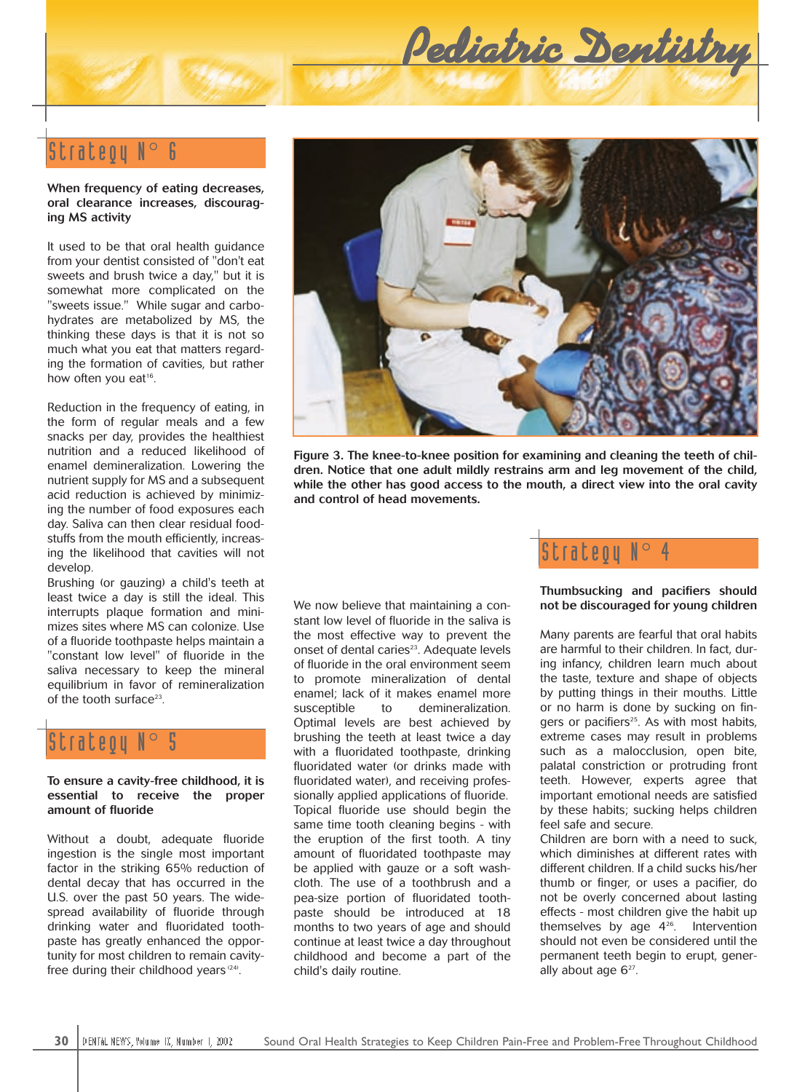

# Strategy N°

#### **When frequency of eating decreases, oral clearance increases, discouraging MS activity**

It used to be that oral health guidance from your dentist consisted of "don't eat sweets and brush twice a day," but it is somewhat more complicated on the "sweets issue." While sugar and carbohydrates are metabolized by MS, the thinking these days is that it is not so much what you eat that matters regarding the formation of cavities, but rather how often you eat<sup>16</sup>.

Reduction in the frequency of eating, in the form of regular meals and a few snacks per day, provides the healthiest nutrition and a reduced likelihood of enamel demineralization. Lowering the nutrient supply for MS and a subsequent acid reduction is achieved by minimizing the number of food exposures each day. Saliva can then clear residual foodstuffs from the mouth efficiently, increasing the likelihood that cavities will not develop.

Brushing (or gauzing) a child's teeth at least twice a day is still the ideal. This interrupts plaque formation and minimizes sites where MS can colonize. Use of a fluoride toothpaste helps maintain a "constant low level" of fluoride in the saliva necessary to keep the mineral equilibrium in favor of remineralization of the tooth surface<sup>23</sup>.

# Strategy  $\mathbb{N}^\circ$

**To ensure a cavity-free childhood, it is essential to receive the proper amount of fluoride** 

Without a doubt, adequate fluoride ingestion is the single most important factor in the striking 65% reduction of dental decay that has occurred in the U.S. over the past 50 years. The widespread availability of fluoride through drinking water and fluoridated toothpaste has greatly enhanced the opportunity for most children to remain cavityfree during their childhood years  $(24)$ .



**Figure 3. The knee-to-knee position for examining and cleaning the teeth of children. Notice that one adult mildly restrains arm and leg movement of the child, while the other has good access to the mouth, a direct view into the oral cavity and control of head movements.**

We now believe that maintaining a constant low level of fluoride in the saliva is the most effective way to prevent the onset of dental caries<sup>23</sup>. Adequate levels of fluoride in the oral environment seem to promote mineralization of dental enamel; lack of it makes enamel more susceptible to demineralization. Optimal levels are best achieved by brushing the teeth at least twice a day with a fluoridated toothpaste, drinking fluoridated water (or drinks made with fluoridated water), and receiving professionally applied applications of fluoride. Topical fluoride use should begin the same time tooth cleaning begins - with the eruption of the first tooth. A tiny amount of fluoridated toothpaste may be applied with gauze or a soft washcloth. The use of a toothbrush and a pea-size portion of fluoridated toothpaste should be introduced at 18 months to two years of age and should continue at least twice a day throughout childhood and become a part of the child's daily routine.



### **Thumbsucking and pacifiers should not be discouraged for young children**

Many parents are fearful that oral habits are harmful to their children. In fact, during infancy, children learn much about the taste, texture and shape of objects by putting things in their mouths. Little or no harm is done by sucking on fingers or pacifiers<sup>25</sup>. As with most habits, extreme cases may result in problems such as a malocclusion, open bite, palatal constriction or protruding front teeth. However, experts agree that important emotional needs are satisfied by these habits; sucking helps children feel safe and secure.

Children are born with a need to suck, which diminishes at different rates with different children. If a child sucks his/her thumb or finger, or uses a pacifier, do not be overly concerned about lasting effects - most children give the habit up themselves by age 426. Intervention should not even be considered until the permanent teeth begin to erupt, generally about age  $6^{27}$ .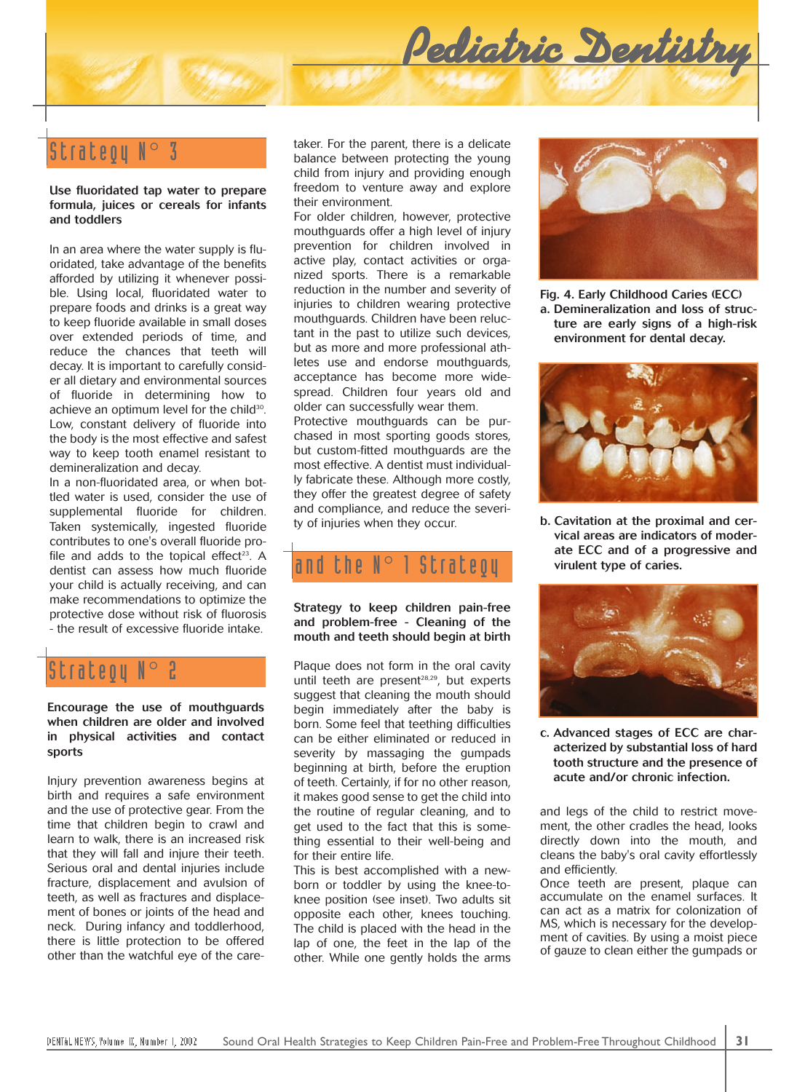

**Use fluoridated tap water to prepare formula, juices or cereals for infants and toddlers**

In an area where the water supply is fluoridated, take advantage of the benefits afforded by utilizing it whenever possible. Using local, fluoridated water to prepare foods and drinks is a great way to keep fluoride available in small doses over extended periods of time, and reduce the chances that teeth will decay. It is important to carefully consider all dietary and environmental sources of fluoride in determining how to achieve an optimum level for the child<sup>30</sup>. Low, constant delivery of fluoride into the body is the most effective and safest way to keep tooth enamel resistant to demineralization and decay.

In a non-fluoridated area, or when bottled water is used, consider the use of supplemental fluoride for children. Taken systemically, ingested fluoride contributes to one's overall fluoride profile and adds to the topical effect<sup>23</sup>. A dentist can assess how much fluoride your child is actually receiving, and can make recommendations to optimize the protective dose without risk of fluorosis - the result of excessive fluoride intake.

## Strateou

**Encourage the use of mouthguards when children are older and involved in physical activities and contact sports**

Injury prevention awareness begins at birth and requires a safe environment and the use of protective gear. From the time that children begin to crawl and learn to walk, there is an increased risk that they will fall and injure their teeth. Serious oral and dental injuries include fracture, displacement and avulsion of teeth, as well as fractures and displacement of bones or joints of the head and neck. During infancy and toddlerhood, there is little protection to be offered other than the watchful eye of the caretaker. For the parent, there is a delicate balance between protecting the young child from injury and providing enough freedom to venture away and explore their environment.

For older children, however, protective mouthguards offer a high level of injury prevention for children involved in active play, contact activities or organized sports. There is a remarkable reduction in the number and severity of injuries to children wearing protective mouthguards. Children have been reluctant in the past to utilize such devices, but as more and more professional athletes use and endorse mouthguards, acceptance has become more widespread. Children four years old and older can successfully wear them. Protective mouthguards can be purchased in most sporting goods stores, but custom-fitted mouthguards are the most effective. A dentist must individually fabricate these. Although more costly, they offer the greatest degree of safety and compliance, and reduce the severity of injuries when they occur.

# and the  $N^{\circ}$  1 Strategy

**Strategy to keep children pain-free and problem-free - Cleaning of the mouth and teeth should begin at birth**

Plaque does not form in the oral cavity until teeth are present<sup>28,29</sup>, but experts suggest that cleaning the mouth should begin immediately after the baby is born. Some feel that teething difficulties can be either eliminated or reduced in severity by massaging the gumpads beginning at birth, before the eruption of teeth. Certainly, if for no other reason, it makes good sense to get the child into the routine of regular cleaning, and to get used to the fact that this is something essential to their well-being and for their entire life.

This is best accomplished with a newborn or toddler by using the knee-toknee position (see inset). Two adults sit opposite each other, knees touching. The child is placed with the head in the lap of one, the feet in the lap of the other. While one gently holds the arms



*Pediatric Dentistry*

**Fig. 4. Early Childhood Caries (ECC) a. Demineralization and loss of structure are early signs of a high-risk environment for dental decay.**



**b. Cavitation at the proximal and cervical areas are indicators of moderate ECC and of a progressive and virulent type of caries.**



**c. Advanced stages of ECC are characterized by substantial loss of hard tooth structure and the presence of acute and/or chronic infection.**

and legs of the child to restrict movement, the other cradles the head, looks directly down into the mouth, and cleans the baby's oral cavity effortlessly and efficiently.

Once teeth are present, plaque can accumulate on the enamel surfaces. It can act as a matrix for colonization of MS, which is necessary for the development of cavities. By using a moist piece of gauze to clean either the gumpads or